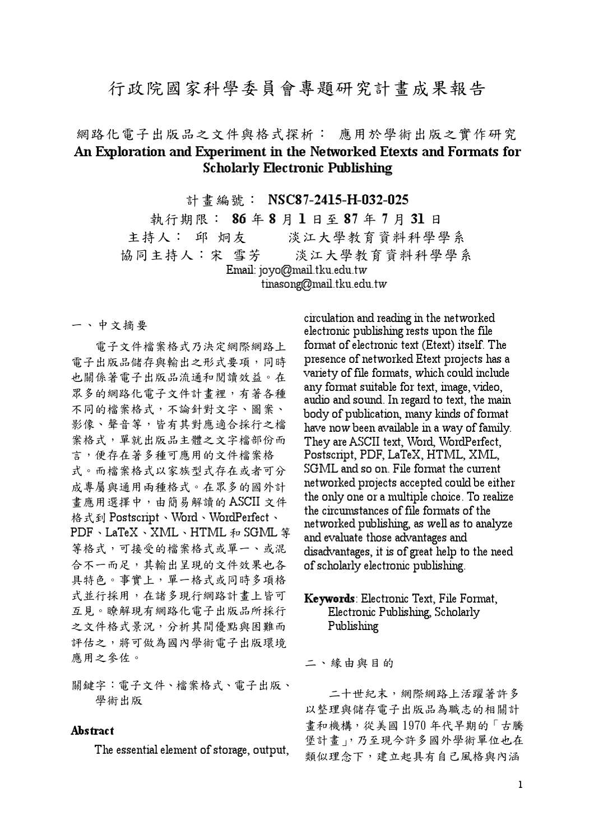# 行政院國家科學委員會專題研究計書成果報告

## 網路化電子出版品之文件與格式探析: 應用於學術出版之實作研究 An Exploration and Experiment in the Networked Etexts and Formats for **Scholarly Electronic Publishing**

計書編號: NSC87-2415-H-032-025

執行期限: 86年8月1日至87年7月31日 主持人: 邱 炯友 淡江大學教育資料科學學系 淡江大學教育資料科學學系 協同主持人:宋 雪芳 Email: joyo@mail.tku.edu.tw tinasong@mail.tku.edu.tw

一、中文摘要

電子文件檔案格式乃決定網際網路上 電子出版品儲存與輸出之形式要項,同時 也關係著電子出版品流通和閱讀效益。在 眾多的網路化電子文件計畫裡,有著各種 不同的檔案格式,不論針對文字、圖案、 影像、聲音等,皆有其對應適合採行之檔 案格式,單就出版品主體之文字檔部份而 言,便存在著多種可應用的文件檔案格 式。而檔案格式以家族型式存在或者可分 成專屬與通用兩種格式。在眾多的國外計 畫應用選擇中,由簡易解讀的ASCII文件 格式到 Postscript、Word、WordPerfect、 PDF、LaTeX、XML、HTML 和 SGML 等 等格式,可接受的檔案格式或單一、或混 合不一而足,其輸出呈現的文件效果也各 具特色。事實上,單一格式或同時多項格 式並行採用,在諸多現行網路計書上皆可 互見。瞭解現有網路化電子出版品所採行 之文件格式景況,分析其間優點與困難而 評估之,將可做為國內學術電子出版環境 應用之參佐。

關鍵字:電子文件、檔案格式、電子出版、 學術出版

#### Abstract

The essential element of storage, output,

circulation and reading in the networked electronic publishing rests upon the file format of electronic text (Etext) itself. The presence of networked Etext projects has a variety of file formats, which could include any format suitable for text, image, video, audio and sound. In regard to text, the main body of publication, many kinds of format have now been available in a way of family. They are ASCII text, Word, WordPerfect,<br>Postscript, PDF, LaTeX, HTML, XML, SGML and so on. File format the current networked projects accepted could be either the only one or a multiple choice. To realize the circumstances of file formats of the networked publishing, as well as to analyze and evaluate those advantages and disadvantages, it is of great help to the need of scholarly electronic publishing.

## Keywords: Electronic Text, File Format, Electronic Publishing, Scholarly Publishing

二、緣由與目的

二十世紀末, 網際網路上活躍著許多 以整理與儲存電子出版品為職志的相關計 畫和機構,從美國1970年代早期的「古騰 堡計畫」,乃至現今許多國外學術單位也在 類似理念下,建立起具有自己風格與內涵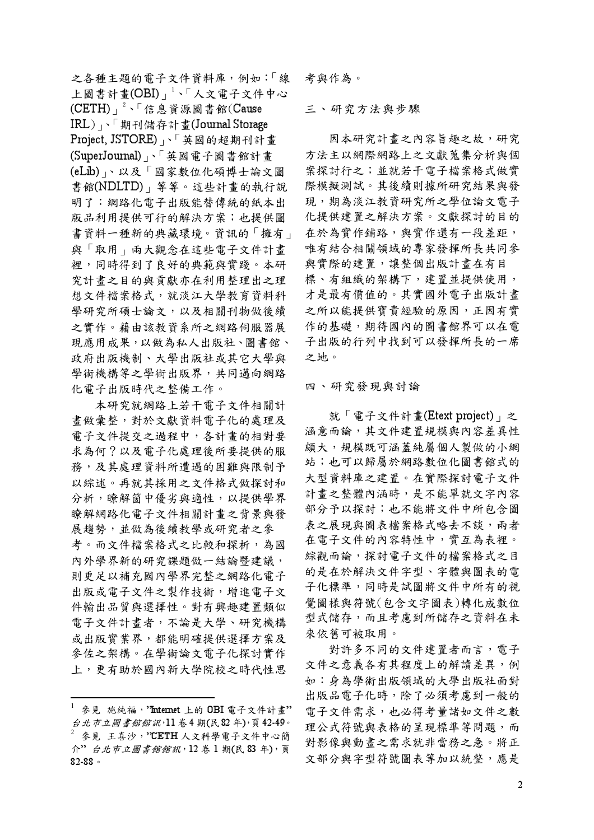之各種主題的電子文件資料庫,例如:「線 上圖書計畫(OBI) | 、「人文電子文件中心 (CETH)」<sup>2、「</sup>信息資源圖書館(Cause IRL),「期刊儲存計畫(Journal Storage Project, JSTORE)」、「英國的超期刊計畫 (SuperJournal) 、「英國電子圖書館計畫 (eLib) 、以及「國家數位化碩博士論文圖 書館(NDLTD), 等等。這些計書的執行說 明了:網路化雷子出版能替傳統的紙本出 版品利用提供可行的解決方案;也提供圖 書資料一種新的典藏環境。資訊的「擁有」 與「取用」兩大觀念在這些電子文件計書 裡,同時得到了良好的典範與實踐。本研 究計書之目的與貢獻亦在利用整理出之理 想文件檔案格式,就淡江大學教育資料科 學研究所碩士論文,以及相關刊物做後續 之實作。藉由該教資系所之網路伺服器展 現應用成果,以做為私人出版社、圖書館、 政府出版機制、大學出版社或其它大學與 學術機構等之學術出版界,共同邁向網路 化雷子出版時代之整備工作。

本研究就網路上若干電子文件相關計 書做彙整,對於文獻資料電子化的處理及 雷子文件提交之過程中,各計書的相對要 求為何?以及電子化處理後所要提供的服 務,及其處理資料所遭遇的困難與限制予 以綜述。再就其採用之文件格式做探討和 分析,瞭解箇中優劣與適性,以提供學界 瞭解網路化電子文件相關計書之背景與發 展趨勢,並做為後續教學或研究者之參 考。而文件檔案格式之比較和探析,為國 內外學界新的研究課題做一結論暨建議, 則更足以補充國內學界完整之網路化電子 出版或電子文件之製作技術,增進電子文 件輸出品質與選擇性。對有興趣建置類似 電子文件計書者,不論是大學、研究機構 或出版實業界,都能明確提供選擇方案及 參佐之架構。在學術論文電子化探討實作 上,更有助於國內新大學院校之時代性思 考與作為。

三、研究方法與步驟

因本研究計書之內容旨趣之故,研究 方法主以網際網路上之文獻蒐集分析與個 案探討行之;並就若干雷子檔案格式做實 際模擬測試。其後續則據所研究結果與發 現,期為淡江教資研究所之學位論文電子 化提供建置之解决方案。文獻探討的目的 在於為實作鋪路,與實作還有一段差距, 唯有結合相關領域的專家發揮所長共同參 與實際的建置,讓整個出版計書在有目 標、有組織的架構下,建置並提供使用, 才是最有價值的。其實國外電子出版計畫 之所以能提供寶貴經驗的原因,正因有實 作的基礎,期待國內的圖書館界可以在電 子出版的行列中找到可以發揮所長的一席 之地。

四、研究發現與討論

就「電子文件計書(Etext project)」之 涵意而論,其文件建置規模與內容差異性 頗大,規模既可涵蓋純屬個人製做的小網 站;也可以歸屬於網路數位化圖書館式的 大型資料庫之建置。在實際探討電子文件 計書之整體內涵時,是不能單就文字內容 部分予以探討;也不能將文件中所包含圖 表之展現與圖表檔案格式略去不談,兩者 在電子文件的內容特性中,實互為表裡。 綜觀而論,探討電子文件的檔案格式之目 的是在於解決文件字型、字體與圖表的電 子化標準,同時是試圖將文件中所有的視 覺圖樣與符號(包含文字圖表)轉化成數位 型式儲存,而且考慮到所儲存之資料在未 來依舊可被取用。

對許多不同的文件建置者而言, 電子 文件之意義各有其程度上的解讀差異,例 如:身為學術出版領域的大學出版社面對 出版品電子化時,除了必須考慮到一般的 雷子文件需求,也必得考量諸如文件之數 理公式符號與表格的呈現標準等問題,而 對影像與動畫之需求就非當務之急。將正 文部分與字型符號圖表等加以統整,應是

參見 施純福, 'Internet 上的 OBI 電子文件計畫" 台北市立圖書館館訊,11卷4期(民82年),頁42-49。  $2$  參見 王喜沙,? CETH 人文科學電子文件中心簡 介"台北市立圖書館館訊, 12 卷 1 期(民 83 年), 頁  $82 - 88$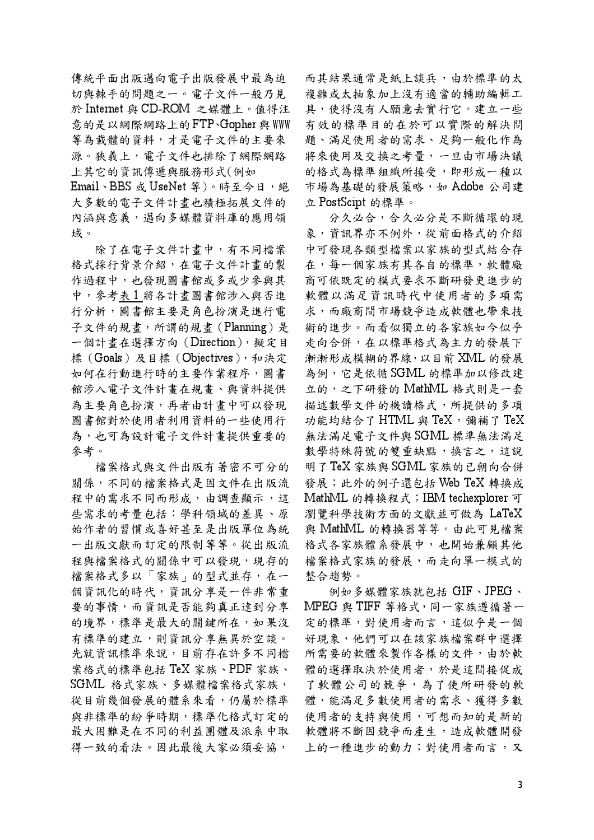傳統平面出版邁向電子出版發展中最為迫 切與棘手的問題之一。雷子文件一般乃見 於 Internet 與 CD-ROM 之媒體上。值得注 意的是以網際網路上的FTP、Gopher 與 WWW 等為載體的資料,才是電子文件的主要來 源。狹義上, 電子文件也排除了網際網路 上其它的資訊傳遞與服務形式(例如

Email、BBS 或 UseNet 等)。時至今日,絕 大多數的電子文件計書也積極拓展文件的 內涵與意義,邁向多媒體資料庫的應用領 域。

除了在電子文件計畫中,有不同檔案 格式採行背景介紹,在電子文件計畫的製 作過程中,也發現圖書館或多或少參與其 中,參考表1將各計畫圖書館涉入與否進 行分析,圖書館主要是角色扮演是進行電 子文件的規書,所謂的規書(Planning)是 一個計畫在選擇方向 (Direction), 擬定目 標 (Goals) 及目標 (Objectives), 和決定 如何在行動進行時的主要作業程序,圖書 館涉入電子文件計書在規書、與資料提供 為主要角色扮演,再者由計書中可以發現 圖書館對於使用者利用資料的一些使用行 為,也可為設計電子文件計書提供重要的 參考。

檔案格式與文件出版有著密不可分的 關係,不同的檔案格式是因文件在出版流 程中的需求不同而形成,由調查顯示,這 些需求的考量包括:學科領域的差異、原 始作者的習慣或喜好甚至是出版單位為統 一出版文獻而訂定的限制等等。從出版流 程與檔案格式的關係中可以發現,現存的 檔案格式多以「家族」的型式並存,在一 個資訊化的時代,資訊分享是一件非常重 要的事情,而資訊是否能夠真正達到分享 的境界,標準是最大的關鍵所在,如果沒 有標準的建立,則資訊分享無異於空談。 先就資訊標準來說,目前存在許多不同檔 案格式的標準包括 TeX 家族、PDF 家族、 SGML 格式家族、多媒體檔案格式家族, 從目前幾個發展的體系來看,仍屬於標準 與非標準的紛爭時期,標準化格式訂定的 最大困難是在不同的利益團體及派系中取 得一致的看法。因此最後大家必須妥協,

而其結果通常是紙上談兵,由於標準的太 複雜或太抽象加上沒有適當的輔助編輯工 具,使得沒有人願意去實行它。建立一些 有效的標準目的在於可以實際的解決問 題、滿足使用者的需求、足夠一般化作為 將來使用及交換之考量,一旦由市場決議 的格式為標準組織所接受,即形成一種以 市場為基礎的發展策略,如 Adobe 公司建 立 PostScipt 的標準。

分久必合,合久必分是不斷循環的現 象,資訊界亦不例外,從前面格式的介紹 中可發現各類型檔案以家族的型式結合存 在,每一個家族有其各自的標準,軟體廠 商可依既定的模式要求不斷研發更進步的 軟體以滿足資訊時代中使用者的多項需 求,而廠商間市場競爭造成軟體也帶來技 術的進步。而看似獨立的各家族如今似乎 走向合併,在以標準格式為主力的發展下 漸漸形成模糊的界線,以目前 XML 的發展 為例,它是依循SGML的標準加以修改建 立的,之下研發的 MathML 格式則是一套 描述數學文件的機讀格式,所提供的多項 功能均結合了 HTML 與 TeX, 彌補了 TeX 無法滿足電子文件與 SGML 標準無法滿足 數學特殊符號的雙重缺點,換言之,這說 明了TeX 家族與SGML 家族的已朝向合併 發展;此外的例子還包括 Web TeX 轉換成 MathML 的轉換程式; IBM techexplorer 可 瀏覽科學技術方面的文獻並可做為 LaTeX 與 MathML 的轉換器等等。由此可見檔案 格式各家族體系發展中,也開始兼顧其他 檔案格式家族的發展,而走向單一模式的 整合趨勢。

例如多媒體家族就包括 GIF、JPEG、 MPEG 與 TIFF 等格式,同一家族遵循著一 定的標準,對使用者而言,這似乎是一個 好現象,他們可以在該家族檔案群中選擇 所需要的軟體來製作各樣的文件,由於軟 體的選擇取決於使用者,於是這間接促成 了軟體公司的競爭,為了使所研發的軟 體,能滿足多數使用者的需求、獲得多數 使用者的支持與使用,可想而知的是新的 軟體將不斷因競爭而產生,造成軟體開發 上的一種進步的動力;對使用者而言,又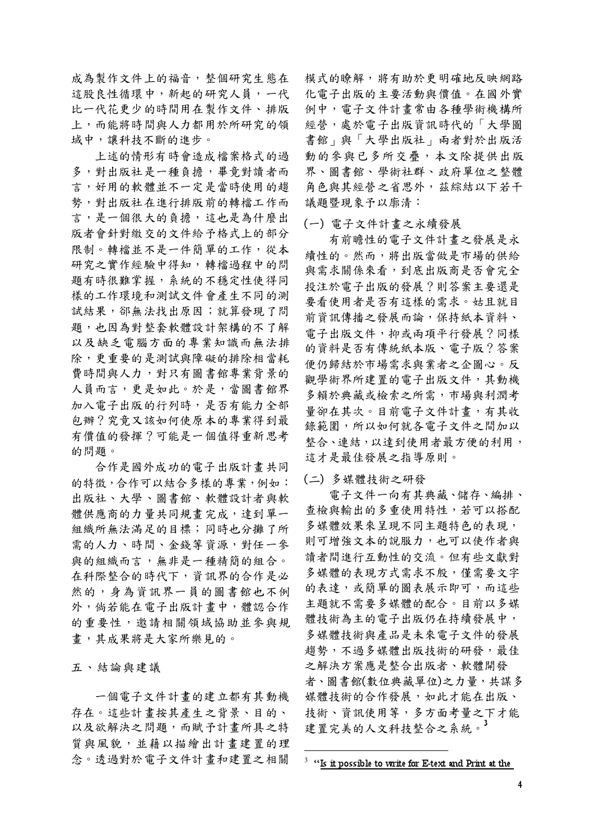成為製作文件上的福音,整個研究生態在 這股良性循環中,新起的研究人員,一代 比一代花更少的時間用在製作文件、排版 上,而能將時間與人力都用於所研究的領 域中,讓科技不斷的進步。

上述的情形有時會造成檔案格式的過 多,對出版社是一種負擔,畢竟對讀者而 言,好用的軟體並不一定是當時使用的趨 勢,對出版社在進行排版前的轉檔工作而 言,是一個很大的負擔,這也是為什麼出 版者會針對繳交的文件給予格式上的部分 限制。轉檔並不是一件簡單的工作,從本 研究之實作經驗中得知,轉檔過程中的問 題有時很難掌握,系統的不穩定性使得同 樣的工作環境和測試文件會產生不同的測 試結果, 卻無法找出原因;就算發現了問 題, 也因為對整套軟體設計架構的不了解 以及缺乏電腦方面的專業知識而無法排 除,更重要的是測試與障礙的排除相當耗 費時間與人力,對只有圖書館專業背景的 人員而言,更是如此。於是,當圖書館界 加入電子出版的行列時,是否有能力全部 包辦?究竟又該如何使原本的專業得到最 有價值的發揮?可能是一個值得重新思考 的問題。

合作是國外成功的電子出版計書共同 的特徵,合作可以結合多樣的專業,例如: 出版社、大學、圖書館、軟體設計者與軟 體供應商的力量共同規書完成,達到單一 組織所無法滿足的目標;同時也分攤了所 需的人力、時間、金錢等資源,對任一參 與的組織而言,無非是一種精簡的組合。 在科際整合的時代下,資訊界的合作是必 然的,身為資訊界一員的圖書館也不例 外,倘若能在電子出版計書中,體認合作 的重要性,邀請相關領域協助並參與規 書,其成果將是大家所樂見的。

五、結論與建議

一個雷子文件計書的建立都有其動機 存在。這些計書按其產生之背景、目的、 以及欲解決之問題,而賦予計書所具之特 質與風貌,並藉以描繪出計畫建置的理 念。诱過對於雷子文件計書和建置之相關

模式的瞭解,將有助於更明確地反映網路 化雷子出版的主要活動與價值。在國外實 例中, 電子文件計書常由各種學術機構所 經營,處於電子出版資訊時代的「大學圖 書館」與「大學出版社」兩者對於出版活 動的參與已多所交疊,本文除提供出版 界、圖書館、學術社群、政府單位之整體 角色與其經營之省思外,茲綜結以下若干 議題暨現象予以廓清:

### (一) 雷子文件計書之永續發展

有前瞻性的雷子文件計書之發展是永 續性的。然而,將出版當做是市場的供給 與需求關係來看,到底出版商是否會完全 投注於電子出版的發展?則答案主要還是 要看使用者是否有這樣的需求。姑且就目 前資訊傳播之發展而論,保持紙本資料、 雷子出版文件,抑或兩項平行發展?同樣 的資料是否有傳統紙本版、電子版?答案 便仍歸結於市場需求與業者之企圖心。反 觀學術界所建置的電子出版文件,其動機 多賴於典藏或檢索之所需,市場與利潤考 量卻在其次。目前雷子文件計書,有其收 錄範圍,所以如何就各電子文件之間加以 整合、連結,以達到使用者最方便的利用, 這才是最佳發展之指導原則。

### (二) 多媒體技術之研發

電子文件一向有其典藏、儲存、編排、 查檢與輸出的多重使用特性,若可以搭配 多媒體效果來呈現不同主題特色的表現, 則可增強文本的說服力,也可以使作者與 讀者間進行互動性的交流。但有些文獻對 多媒體的表現方式需求不殷,僅需要文字 的表達,或簡單的圖表展示即可,而這些 主題就不需要多媒體的配合。目前以多媒 體技術為主的電子出版仍在持續發展中, 多媒體技術與產品是未來電子文件的發展 趨勢,不過多媒體出版技術的研發,最佳 之解決方案應是整合出版者、軟體開發 者、圖書館(數位典藏單位)之力量,共謀多 媒體技術的合作發展,如此才能在出版、 技術、資訊使用等,多方面考量之下才能 建置完美的人文科技整合之系統。3

 $3$  "Is it possible to write for E-text and Print at the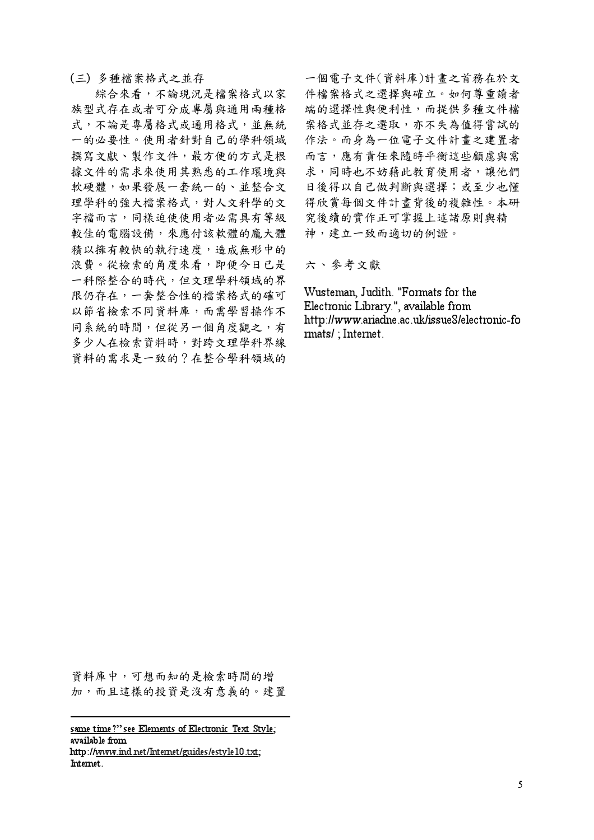(三) 多種檔案格式之並存

綜合來看,不論現況是檔案格式以家 族型式存在或者可分成專屬與通用兩種格 式,不論是專屬格式或通用格式,並無統 一的必要性。使用者針對自己的學科領域 撰寫文獻、製作文件,最方便的方式是根 據文件的需求來使用其熟悉的工作環境與 軟硬體,如果發展一套統一的、並整合文 理學科的強大檔案格式,對人文科學的文 字檔而言,同樣迫使使用者必需具有等級 較佳的電腦設備,來應付該軟體的龐大體 精以擁有較快的執行速度,造成無形中的 浪費。從檢索的角度來看,即便今日已是 一科際整合的時代,但文理學科領域的界 限仍存在,一套整合性的檔案格式的確可 以節省檢索不同資料庫,而需學習操作不 同系統的時間,但從另一個角度觀之,有 多少人在檢索資料時,對跨文理學科界線 資料的需求是一致的?在整合學科領域的

一個電子文件(資料庫)計書之首務在於文 件檔案格式之選擇與確立。如何尊重讀者 端的選擇性與便利性,而提供多種文件檔 案格式並存之選取,亦不失為值得嘗試的 作法。而身為一位電子文件計書之建置者 而言,應有責任來隨時平衡這些顧慮與需 求,同時也不妨藉此教育使用者,讓他們 日後得以自己做判斷與選擇;或至少也懂 得欣賞每個文件計書背後的複雜性。本研 究後續的實作正可掌握上述諸原則與精 神,建立一致而適切的例證。

六、參考文獻

Wusteman, Judith. "Formats for the Electronic Library.", available from http://www.ariadne.ac.uk/issue8/electronic-fo mats/: Internet.

資料庫中,可想而知的是檢索時間的增 加,而且這樣的投資是沒有意義的。建置

same time?" see Elements of Electronic Text Style: available from http://www.ind.net/Internet/guides/estyle10.txt; Internet.